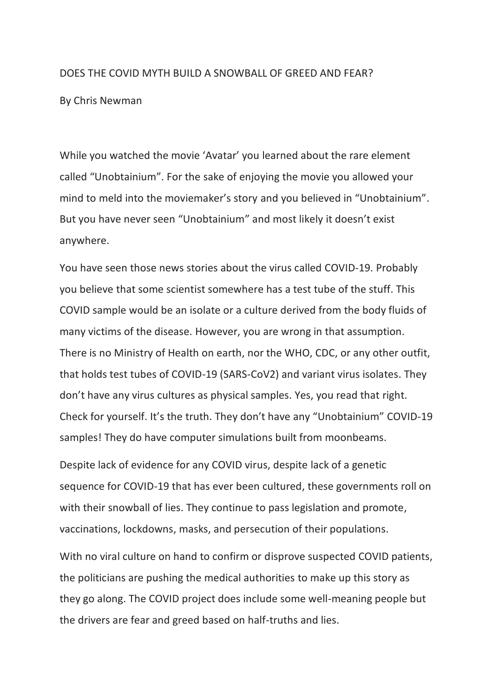## DOES THE COVID MYTH BUILD A SNOWBALL OF GREED AND FEAR? By Chris Newman

While you watched the movie 'Avatar' you learned about the rare element called "Unobtainium". For the sake of enjoying the movie you allowed your mind to meld into the moviemaker's story and you believed in "Unobtainium". But you have never seen "Unobtainium" and most likely it doesn't exist anywhere.

You have seen those news stories about the virus called COVID-19. Probably you believe that some scientist somewhere has a test tube of the stuff. This COVID sample would be an isolate or a culture derived from the body fluids of many victims of the disease. However, you are wrong in that assumption. There is no Ministry of Health on earth, nor the WHO, CDC, or any other outfit, that holds test tubes of COVID-19 (SARS-CoV2) and variant virus isolates. They don't have any virus cultures as physical samples. Yes, you read that right. Check for yourself. It's the truth. They don't have any "Unobtainium" COVID-19 samples! They do have computer simulations built from moonbeams.

Despite lack of evidence for any COVID virus, despite lack of a genetic sequence for COVID-19 that has ever been cultured, these governments roll on with their snowball of lies. They continue to pass legislation and promote, vaccinations, lockdowns, masks, and persecution of their populations.

With no viral culture on hand to confirm or disprove suspected COVID patients, the politicians are pushing the medical authorities to make up this story as they go along. The COVID project does include some well-meaning people but the drivers are fear and greed based on half-truths and lies.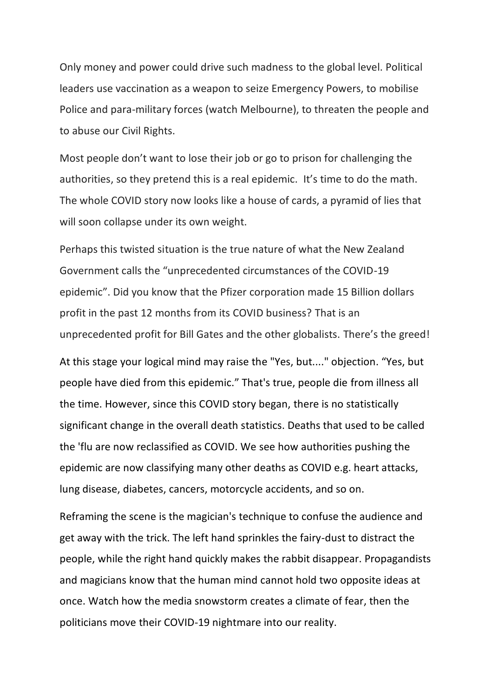Only money and power could drive such madness to the global level. Political leaders use vaccination as a weapon to seize Emergency Powers, to mobilise Police and para-military forces (watch Melbourne), to threaten the people and to abuse our Civil Rights.

Most people don't want to lose their job or go to prison for challenging the authorities, so they pretend this is a real epidemic. It's time to do the math. The whole COVID story now looks like a house of cards, a pyramid of lies that will soon collapse under its own weight.

Perhaps this twisted situation is the true nature of what the New Zealand Government calls the "unprecedented circumstances of the COVID-19 epidemic". Did you know that the Pfizer corporation made 15 Billion dollars profit in the past 12 months from its COVID business? That is an unprecedented profit for Bill Gates and the other globalists. There's the greed!

At this stage your logical mind may raise the "Yes, but...." objection. "Yes, but people have died from this epidemic." That's true, people die from illness all the time. However, since this COVID story began, there is no statistically significant change in the overall death statistics. Deaths that used to be called the 'flu are now reclassified as COVID. We see how authorities pushing the epidemic are now classifying many other deaths as COVID e.g. heart attacks, lung disease, diabetes, cancers, motorcycle accidents, and so on.

Reframing the scene is the magician's technique to confuse the audience and get away with the trick. The left hand sprinkles the fairy-dust to distract the people, while the right hand quickly makes the rabbit disappear. Propagandists and magicians know that the human mind cannot hold two opposite ideas at once. Watch how the media snowstorm creates a climate of fear, then the politicians move their COVID-19 nightmare into our reality.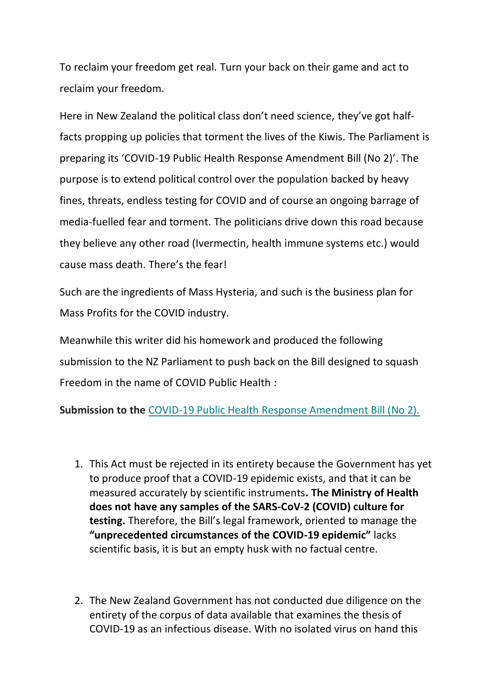To reclaim your freedom get real. Turn your back on their game and act to reclaim your freedom.

Here in New Zealand the political class don't need science, they've got halffacts propping up policies that torment the lives of the Kiwis. The Parliament is preparing its 'COVID-19 Public Health Response Amendment Bill (No 2)'. The purpose is to extend political control over the population backed by heavy fines, threats, endless testing for COVID and of course an ongoing barrage of media-fuelled fear and torment. The politicians drive down this road because they believe any other road (Ivermectin, health immune systems etc.) would cause mass death. There's the fear!

Such are the ingredients of Mass Hysteria, and such is the business plan for Mass Profits for the COVID industry.

Meanwhile this writer did his homework and produced the following submission to the NZ Parliament to push back on the Bill designed to squash Freedom in the name of COVID Public Health :

**Submission to the** COVID-19 Public Health Response Amendment Bill (No 2).

- 1. This Act must be rejected in its entirety because the Government has yet to produce proof that a COVID-19 epidemic exists, and that it can be measured accurately by scientific instruments**. The Ministry of Health does not have any samples of the SARS-CoV-2 (COVID) culture for testing.** Therefore, the Bill's legal framework, oriented to manage the **"unprecedented circumstances of the COVID-19 epidemic"** lacks scientific basis, it is but an empty husk with no factual centre.
- 2. The New Zealand Government has not conducted due diligence on the entirety of the corpus of data available that examines the thesis of COVID-19 as an infectious disease. With no isolated virus on hand this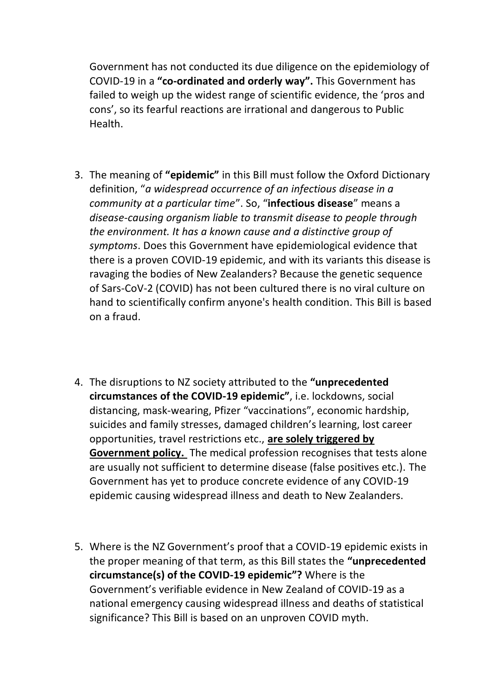Government has not conducted its due diligence on the epidemiology of COVID-19 in a **"co-ordinated and orderly way".** This Government has failed to weigh up the widest range of scientific evidence, the 'pros and cons', so its fearful reactions are irrational and dangerous to Public Health.

- 3. The meaning of **"epidemic"** in this Bill must follow the Oxford Dictionary definition, "*a widespread occurrence of an infectious disease in a community at a particular time*". So, "**infectious disease**" means a *disease-causing organism liable to transmit disease to people through the environment. It has a known cause and a distinctive group of symptoms*. Does this Government have epidemiological evidence that there is a proven COVID-19 epidemic, and with its variants this disease is ravaging the bodies of New Zealanders? Because the genetic sequence of Sars-CoV-2 (COVID) has not been cultured there is no viral culture on hand to scientifically confirm anyone's health condition. This Bill is based on a fraud.
- 4. The disruptions to NZ society attributed to the **"unprecedented circumstances of the COVID-19 epidemic"**, i.e. lockdowns, social distancing, mask-wearing, Pfizer "vaccinations", economic hardship, suicides and family stresses, damaged children's learning, lost career opportunities, travel restrictions etc., **are solely triggered by Government policy.** The medical profession recognises that tests alone are usually not sufficient to determine disease (false positives etc.). The Government has yet to produce concrete evidence of any COVID-19 epidemic causing widespread illness and death to New Zealanders.
- 5. Where is the NZ Government's proof that a COVID-19 epidemic exists in the proper meaning of that term, as this Bill states the **"unprecedented circumstance(s) of the COVID-19 epidemic"?** Where is the Government's verifiable evidence in New Zealand of COVID-19 as a national emergency causing widespread illness and deaths of statistical significance? This Bill is based on an unproven COVID myth.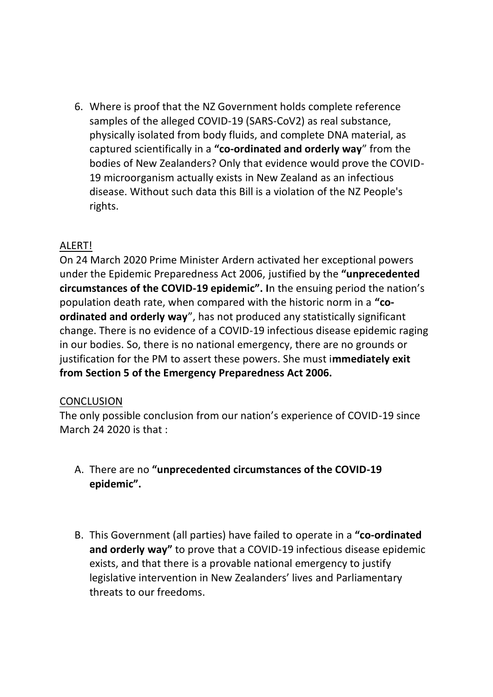6. Where is proof that the NZ Government holds complete reference samples of the alleged COVID-19 (SARS-CoV2) as real substance, physically isolated from body fluids, and complete DNA material, as captured scientifically in a **"co-ordinated and orderly way**" from the bodies of New Zealanders? Only that evidence would prove the COVID-19 microorganism actually exists in New Zealand as an infectious disease. Without such data this Bill is a violation of the NZ People's rights.

## ALERT!

On 24 March 2020 Prime Minister Ardern activated her exceptional powers under the Epidemic Preparedness Act 2006, justified by the **"unprecedented circumstances of the COVID-19 epidemic". I**n the ensuing period the nation's population death rate, when compared with the historic norm in a **"coordinated and orderly way**", has not produced any statistically significant change. There is no evidence of a COVID-19 infectious disease epidemic raging in our bodies. So, there is no national emergency, there are no grounds or justification for the PM to assert these powers. She must i**mmediately exit from Section 5 of the Emergency Preparedness Act 2006.**

## CONCLUSION

The only possible conclusion from our nation's experience of COVID-19 since March 24 2020 is that :

## A. There are no **"unprecedented circumstances of the COVID-19 epidemic".**

B. This Government (all parties) have failed to operate in a **"co-ordinated and orderly way"** to prove that a COVID-19 infectious disease epidemic exists, and that there is a provable national emergency to justify legislative intervention in New Zealanders' lives and Parliamentary threats to our freedoms.